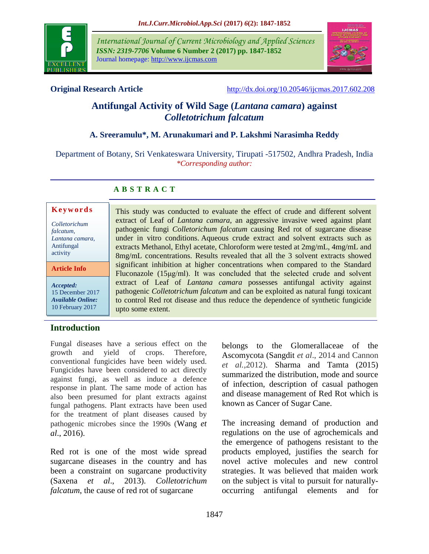

*International Journal of Current Microbiology and Applied Sciences ISSN: 2319-7706* **Volume 6 Number 2 (2017) pp. 1847-1852** Journal homepage: http://www.ijcmas.com 



**Original Research Article** <http://dx.doi.org/10.20546/ijcmas.2017.602.208>

# **Antifungal Activity of Wild Sage (***Lantana camara***) against**  *Colletotrichum falcatum*

# **A. Sreeramulu\*, M. Arunakumari and P. Lakshmi Narasimha Reddy**

Department of Botany, Sri Venkateswara University, Tirupati -517502, Andhra Pradesh, India *\*Corresponding author:*

> This study was conducted to evaluate the effect of crude and different solvent extract of Leaf of *Lantana camara*, an aggressive invasive weed against plant pathogenic fungi *Colletorichum falcatum* causing Red rot of sugarcane disease under in vitro conditions. Aqueous crude extract and solvent extracts such as extracts Methanol, Ethyl acetate, Chloroform were tested at 2mg/mL, 4mg/mL and 8mg/mL concentrations. Results revealed that all the 3 solvent extracts showed significant inhibition at higher concentrations when compared to the Standard Fluconazole (15μg/ml). It was concluded that the selected crude and solvent extract of Leaf of *Lantana camara* possesses antifungal activity against pathogenic *Colletotrichum falcatum* and can be exploited as natural fungi toxicant to control Red rot disease and thus reduce the dependence of synthetic fungicide

# **A B S T R A C T**

upto some extent.

#### **K e y w o r d s**

*Colletorichum falcatum, Lantana camara,* Antifungal activity **Article Info**

*Accepted:*  15 December 2017 *Available Online:* 10 February 2017

# **Introduction**

Fungal diseases have a serious effect on the growth and yield of crops. Therefore, conventional fungicides have been widely used. Fungicides have been considered to act directly against fungi, as well as induce a defence response in plant. The same mode of action has also been presumed for plant extracts against fungal pathogens. Plant extracts have been used for the treatment of plant diseases caused by pathogenic microbes since the 1990s (Wang *et al*., 2016).

Red rot is one of the most wide spread sugarcane diseases in the country and has been a constraint on sugarcane productivity (Saxena *et al*., 2013). *Colletotrichum falcatum*, the cause of red rot of sugarcane

belongs to the Glomerallaceae of the Ascomycota (Sangdit *et al*., 2014 and Cannon *et al.,*2012). Sharma and Tamta (2015) summarized the distribution, mode and source of infection, description of casual pathogen and disease management of Red Rot which is known as Cancer of Sugar Cane.

The increasing demand of production and regulations on the use of agrochemicals and the emergence of pathogens resistant to the products employed, justifies the search for novel active molecules and new control strategies. It was believed that maiden work on the subject is vital to pursuit for naturallyoccurring antifungal elements and for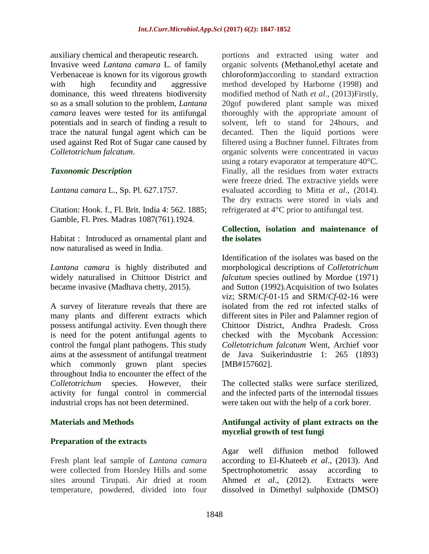auxiliary chemical and therapeutic research.

Invasive weed *Lantana camara* L*.* of family Verbenaceae is known for its vigorous growth with high fecundity and aggressive dominance, this weed threatens biodiversity so as a small solution to the problem, *Lantana camara* leaves were tested for its antifungal potentials and in search of finding a result to trace the natural fungal agent which can be used against Red Rot of Sugar cane caused by *Colletotrichum falcatum*.

### *Taxonomic Description*

*Lantana camara* L., Sp. Pl. 627.1757.

Citation: Hook. f., Fl. Brit. India 4: 562. 1885; Gamble, Fl. Pres. Madras 1087(761).1924.

Habitat : Introduced as ornamental plant and now naturalised as weed in India.

*Lantana camara* is highly distributed and widely naturalised in Chittoor District and became invasive (Madhava chetty, 2015).

A survey of literature reveals that there are many plants and different extracts which possess antifungal activity. Even though there is need for the potent antifungal agents to control the fungal plant pathogens. This study aims at the assessment of antifungal treatment which commonly grown plant species throughout India to encounter the effect of the *Colletotrichum* species. However, their activity for fungal control in commercial industrial crops has not been determined.

#### **Materials and Methods**

# **Preparation of the extracts**

Fresh plant leaf sample of *Lantana camara* were collected from Horsley Hills and some sites around Tirupati. Air dried at room temperature, powdered, divided into four

portions and extracted using water and organic solvents (Methanol,ethyl acetate and chloroform)according to standard extraction method developed by Harborne (1998) and modified method of Nath *et al*., (2013)Firstly, 20gof powdered plant sample was mixed thoroughly with the appropriate amount of solvent, left to stand for 24hours, and decanted. Then the liquid portions were filtered using a Buchner funnel. Filtrates from organic solvents were concentrated in vacuo using a rotary evaporator at temperature 40°C. Finally, all the residues from water extracts were freeze dried. The extractive yields were evaluated according to Mitta *et al*., (2014). The dry extracts were stored in vials and refrigerated at 4°C prior to antifungal test.

### **Collection, isolation and maintenance of the isolates**

Identification of the isolates was based on the morphological descriptions of *Colletotrichum falcatum* species outlined by Mordue (1971) and Sutton (1992).Acquisition of two Isolates viz; SRM/*Cf*-01-15 and SRM/*Cf*-02-16 were isolated from the red rot infected stalks of different sites in Piler and Palamner region of Chittoor District, Andhra Pradesh. Cross checked with the Mycobank Accession: *Colletotrichum falcatum* Went, Archief voor de Java Suikerindustrie 1: 265 (1893) [MB#157602].

The collected stalks were surface sterilized, and the infected parts of the internodal tissues were taken out with the help of a cork borer.

# **Antifungal activity of plant extracts on the mycelial growth of test fungi**

Agar well diffusion method followed according to El-Khateeb *et al*., (2013). And Spectrophotometric assay according to Ahmed *et al.*, (2012). Extracts were dissolved in Dimethyl sulphoxide (DMSO)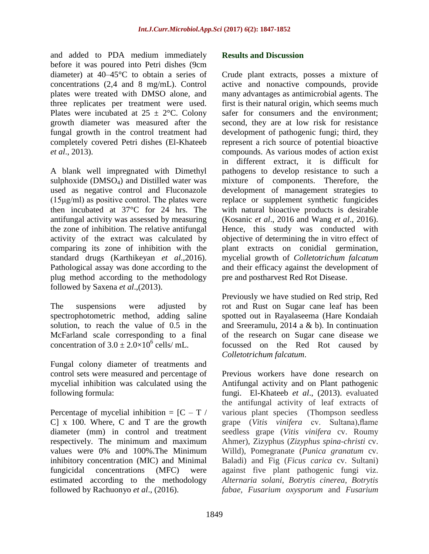and added to PDA medium immediately before it was poured into Petri dishes (9cm diameter) at 40–45°C to obtain a series of concentrations (2,4 and 8 mg/mL). Control plates were treated with DMSO alone, and three replicates per treatment were used. Plates were incubated at  $25 \pm 2$ °C. Colony growth diameter was measured after the fungal growth in the control treatment had completely covered Petri dishes (El-Khateeb *et al*., 2013).

A blank well impregnated with Dimethyl sulphoxide (DMSO<sub>4</sub>) and Distilled water was used as negative control and Fluconazole (15μg/ml) as positive control. The plates were then incubated at 37°C for 24 hrs. The antifungal activity was assessed by measuring the zone of inhibition. The relative antifungal activity of the extract was calculated by comparing its zone of inhibition with the standard drugs (Karthikeyan *et al*.,2016). Pathological assay was done according to the plug method according to the methodology followed by Saxena *et al*.,(2013).

The suspensions were adjusted by spectrophotometric method, adding saline solution, to reach the value of 0.5 in the McFarland scale corresponding to a final concentration of  $3.0 \pm 2.0 \times 10^6$  cells/ mL.

Fungal colony diameter of treatments and control sets were measured and percentage of mycelial inhibition was calculated using the following formula:

Percentage of mycelial inhibition =  $\overline{C} - \overline{T}$  / C] x 100. Where, C and T are the growth diameter (mm) in control and treatment respectively. The minimum and maximum values were 0% and 100%.The Minimum inhibitory concentration (MIC) and Minimal fungicidal concentrations (MFC) were estimated according to the methodology followed by Rachuonyo *et al*., (2016).

### **Results and Discussion**

Crude plant extracts, posses a mixture of active and nonactive compounds, provide many advantages as antimicrobial agents. The first is their natural origin, which seems much safer for consumers and the environment; second, they are at low risk for resistance development of pathogenic fungi; third, they represent a rich source of potential bioactive compounds. As various modes of action exist in different extract, it is difficult for pathogens to develop resistance to such a mixture of components. Therefore, the development of management strategies to replace or supplement synthetic fungicides with natural bioactive products is desirable (Kosanic *et al*., 2016 and Wang *et al*., 2016). Hence, this study was conducted with objective of determining the in vitro effect of plant extracts on conidial germination, mycelial growth of *Colletotrichum falcatum* and their efficacy against the development of pre and postharvest Red Rot Disease.

Previously we have studied on Red strip, Red rot and Rust on Sugar cane leaf has been spotted out in Rayalaseema (Hare Kondaiah and Sreeramulu, 2014 a & b). In continuation of the research on Sugar cane disease we focussed on the Red Rot caused by *Colletotrichum falcatum*.

Previous workers have done research on Antifungal activity and on Plant pathogenic fungi. El-Khateeb *et al*., (2013). evaluated the antifungal activity of leaf extracts of various plant species (Thompson seedless grape (*Vitis vinifera* cv. Sultana),flame seedless grape (*Vitis vinifera* cv. Roumy Ahmer), Zizyphus (*Zizyphus spina-christi* cv. Willd), Pomegranate (*Punica granatum* cv. Baladi) and Fig (*Ficus carica* cv. Sultani) against five plant pathogenic fungi viz. *Alternaria solani, Botrytis cinerea, Botrytis fabae, Fusarium oxysporum* and *Fusarium*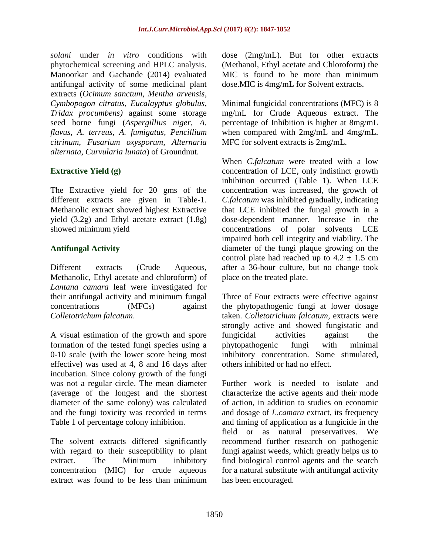*solani* under *in vitro* conditions with phytochemical screening and HPLC analysis. Manoorkar and Gachande (2014) evaluated antifungal activity of some medicinal plant extracts (*Ocimum sanctum*, *Mentha arvensis*, *Cymbopogon citratus*, *Eucalayptus globulus*, *Tridax procumbens)* against some storage seed borne fungi (*Aspergillius niger, A. flavus, A. terreus, A. fumigatus, Pencillium citrinum, Fusarium oxysporum, Alternaria alternata, Curvularia lunata*) of Groundnut.

# **Extractive Yield (g)**

The Extractive yield for 20 gms of the different extracts are given in Table-1. Methanolic extract showed highest Extractive yield (3.2g) and Ethyl acetate extract (1.8g) showed minimum yield

# **Antifungal Activity**

Different extracts (Crude Aqueous, Methanolic, Ethyl acetate and chloroform) of *Lantana camara* leaf were investigated for their antifungal activity and minimum fungal concentrations (MFCs) against *Colletotrichum falcatum*.

A visual estimation of the growth and spore formation of the tested fungi species using a 0-10 scale (with the lower score being most effective) was used at 4, 8 and 16 days after incubation. Since colony growth of the fungi was not a regular circle. The mean diameter (average of the longest and the shortest diameter of the same colony) was calculated and the fungi toxicity was recorded in terms Table 1 of percentage colony inhibition.

The solvent extracts differed significantly with regard to their susceptibility to plant extract. The Minimum inhibitory concentration (MIC) for crude aqueous extract was found to be less than minimum dose (2mg/mL). But for other extracts (Methanol, Ethyl acetate and Chloroform) the MIC is found to be more than minimum dose.MIC is 4mg/mL for Solvent extracts.

Minimal fungicidal concentrations (MFC) is 8 mg/mL for Crude Aqueous extract. The percentage of Inhibition is higher at 8mg/mL when compared with 2mg/mL and 4mg/mL. MFC for solvent extracts is 2mg/mL.

When *C.falcatum* were treated with a low concentration of LCE, only indistinct growth inhibition occurred (Table 1). When LCE concentration was increased, the growth of *C.falcatum* was inhibited gradually, indicating that LCE inhibited the fungal growth in a dose-dependent manner. Increase in the concentrations of polar solvents LCE impaired both cell integrity and viability. The diameter of the fungi plaque growing on the control plate had reached up to  $4.2 \pm 1.5$  cm after a 36-hour culture, but no change took place on the treated plate.

Three of Four extracts were effective against the phytopathogenic fungi at lower dosage taken. *Colletotrichum falcatum,* extracts were strongly active and showed fungistatic and fungicidal activities against the phytopathogenic fungi with minimal inhibitory concentration. Some stimulated, others inhibited or had no effect.

Further work is needed to isolate and characterize the active agents and their mode of action, in addition to studies on economic and dosage of *L.camara* extract, its frequency and timing of application as a fungicide in the field or as natural preservatives. We recommend further research on pathogenic fungi against weeds, which greatly helps us to find biological control agents and the search for a natural substitute with antifungal activity has been encouraged.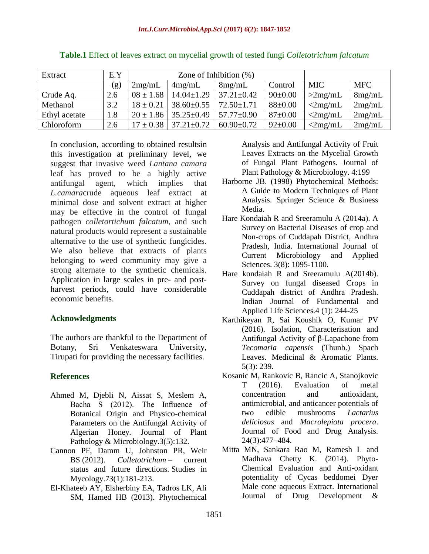| Extract       | E.Y | Zone of Inhibition $(\%)$ |                  |                  |               |                  |            |
|---------------|-----|---------------------------|------------------|------------------|---------------|------------------|------------|
|               | (g) | 2mg/mL                    | 4mg/mL           | 8mg/mL           | Control       | <b>MIC</b>       | <b>MFC</b> |
| Crude Aq.     | 2.6 | $08 \pm 1.68$             | $14.04 \pm 1.29$ | $37.21 \pm 0.42$ | $90 \pm 0.00$ | >2mg/mL          | 8mg/mL     |
| Methanol      | 3.2 | $18 \pm 0.21$             | $38.60 \pm 0.55$ | $72.50 \pm 1.71$ | $88 \pm 0.00$ | $\langle 2mg/mL$ | 2mg/mL     |
| Ethyl acetate | 1.8 | $20 \pm 1.86$             | $35.25 \pm 0.49$ | $57.77 \pm 0.90$ | $87 \pm 0.00$ | $\langle 2mg/mL$ | 2mg/mL     |
| Chloroform    | 2.6 | $17 \pm 0.38$             | $37.21 \pm 0.72$ | $60.90 \pm 0.72$ | $92 \pm 0.00$ | $\langle 2mg/mL$ | 2mg/mL     |

**Table.1** Effect of leaves extract on mycelial growth of tested fungi *Colletotrichum falcatum*

In conclusion, according to obtained resultsin this investigation at preliminary level, we suggest that invasive weed *Lantana camara* leaf has proved to be a highly active antifungal agent, which implies that *L.camara*crude aqueous leaf extract at minimal dose and solvent extract at higher may be effective in the control of fungal pathogen *colletortichum falcatum*, and such natural products would represent a sustainable alternative to the use of synthetic fungicides. We also believe that extracts of plants belonging to weed community may give a strong alternate to the synthetic chemicals. Application in large scales in pre- and postharvest periods, could have considerable economic benefits.

# **Acknowledgments**

The authors are thankful to the Department of Botany, Sri Venkateswara University, Tirupati for providing the necessary facilities.

# **References**

- Ahmed M, Djebli N, Aissat S, Meslem A, Bacha S (2012). The Influence of Botanical Origin and Physico-chemical Parameters on the Antifungal Activity of Algerian Honey. Journal of Plant Pathology & Microbiology.3(5):132.
- Cannon PF, Damm U, Johnston PR, Weir BS (2012). *Colletotrichum* – current status and future directions. Studies in Mycology.73(1):181-213.
- El-Khateeb AY, Elsherbiny EA, Tadros LK, Ali SM, Hamed HB (2013). Phytochemical

Analysis and Antifungal Activity of Fruit Leaves Extracts on the Mycelial Growth of Fungal Plant Pathogens. Journal of Plant Pathology & Microbiology. 4:199

- Harborne JB. (1998) Phytochemical Methods: A Guide to Modern Techniques of Plant Analysis. Springer Science & Business Media.
- Hare Kondaiah R and Sreeramulu A (2014a). A Survey on Bacterial Diseases of crop and Non-crops of Cuddapah District, Andhra Pradesh, India. International Journal of Current Microbiology and Applied Sciences. 3(8): 1095-1100.
- Hare kondaiah R and Sreeramulu A(2014b). Survey on fungal diseased Crops in Cuddapah district of Andhra Pradesh. Indian Journal of Fundamental and Applied Life Sciences.4 (1): 244-25
- Karthikeyan R, Sai Koushik O, Kumar PV (2016). Isolation, Characterisation and Antifungal Activity of β-Lapachone from *Tecomaria capensis* (Thunb.) Spach Leaves. Medicinal & Aromatic Plants. 5(3): 239.
- Kosanic M, Rankovic B, Rancic A, Stanojkovic T (2016). Evaluation of metal concentration and antioxidant, antimicrobial, and anticancer potentials of two edible mushrooms *Lactarius deliciosus* and *Macrolepiota procera*. Journal of Food and Drug Analysis. 24(3):477–484.
- Mitta MN, Sankara Rao M, Ramesh L and Madhava Chetty K. (2014). Phyto-Chemical Evaluation and Anti-oxidant potentiality of Cycas beddomei Dyer Male cone aqueous Extract. International Journal of Drug Development &